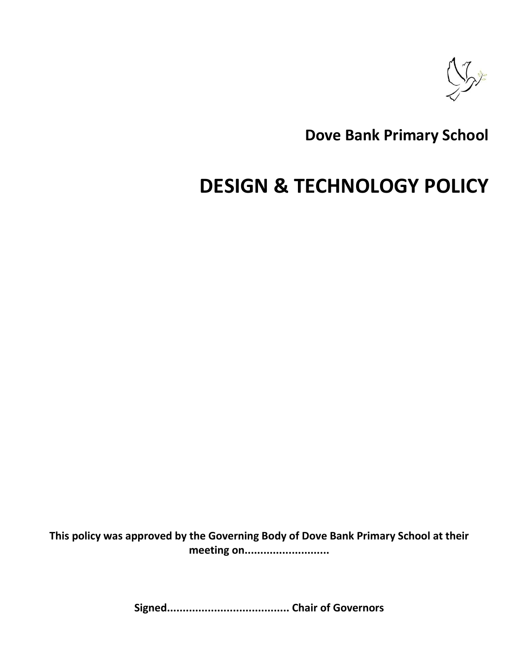

**Dove Bank Primary School**

# **DESIGN & TECHNOLOGY POLICY**

**This policy was approved by the Governing Body of Dove Bank Primary School at their meeting on...........................**

**Signed....................................... Chair of Governors**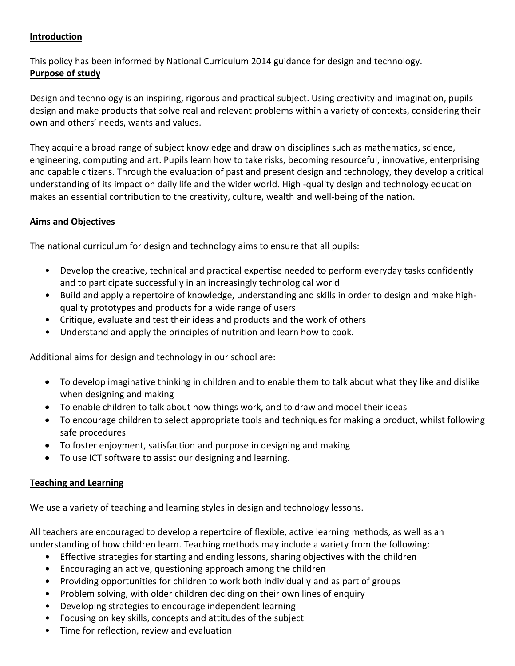# **Introduction**

This policy has been informed by National Curriculum 2014 guidance for design and technology. **Purpose of study**

Design and technology is an inspiring, rigorous and practical subject. Using creativity and imagination, pupils design and make products that solve real and relevant problems within a variety of contexts, considering their own and others' needs, wants and values.

They acquire a broad range of subject knowledge and draw on disciplines such as mathematics, science, engineering, computing and art. Pupils learn how to take risks, becoming resourceful, innovative, enterprising and capable citizens. Through the evaluation of past and present design and technology, they develop a critical understanding of its impact on daily life and the wider world. High -quality design and technology education makes an essential contribution to the creativity, culture, wealth and well-being of the nation.

# **Aims and Objectives**

The national curriculum for design and technology aims to ensure that all pupils:

- Develop the creative, technical and practical expertise needed to perform everyday tasks confidently and to participate successfully in an increasingly technological world
- Build and apply a repertoire of knowledge, understanding and skills in order to design and make highquality prototypes and products for a wide range of users
- Critique, evaluate and test their ideas and products and the work of others
- Understand and apply the principles of nutrition and learn how to cook.

Additional aims for design and technology in our school are:

- To develop imaginative thinking in children and to enable them to talk about what they like and dislike when designing and making
- To enable children to talk about how things work, and to draw and model their ideas
- To encourage children to select appropriate tools and techniques for making a product, whilst following safe procedures
- To foster enjoyment, satisfaction and purpose in designing and making
- To use ICT software to assist our designing and learning.

# **Teaching and Learning**

We use a variety of teaching and learning styles in design and technology lessons.

All teachers are encouraged to develop a repertoire of flexible, active learning methods, as well as an understanding of how children learn. Teaching methods may include a variety from the following:

- Effective strategies for starting and ending lessons, sharing objectives with the children
- Encouraging an active, questioning approach among the children
- Providing opportunities for children to work both individually and as part of groups
- Problem solving, with older children deciding on their own lines of enquiry
- Developing strategies to encourage independent learning
- Focusing on key skills, concepts and attitudes of the subject
- Time for reflection, review and evaluation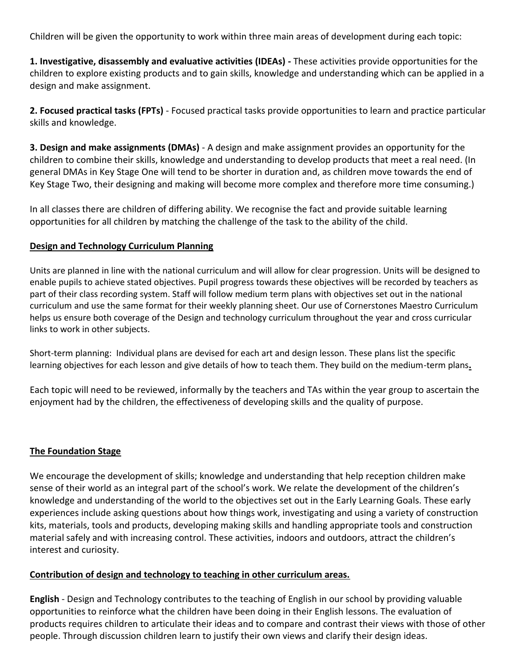Children will be given the opportunity to work within three main areas of development during each topic:

**1. Investigative, disassembly and evaluative activities (IDEAs) -** These activities provide opportunities for the children to explore existing products and to gain skills, knowledge and understanding which can be applied in a design and make assignment.

**2. Focused practical tasks (FPTs)** - Focused practical tasks provide opportunities to learn and practice particular skills and knowledge.

**3. Design and make assignments (DMAs)** - A design and make assignment provides an opportunity for the children to combine their skills, knowledge and understanding to develop products that meet a real need. (In general DMAs in Key Stage One will tend to be shorter in duration and, as children move towards the end of Key Stage Two, their designing and making will become more complex and therefore more time consuming.)

In all classes there are children of differing ability. We recognise the fact and provide suitable learning opportunities for all children by matching the challenge of the task to the ability of the child.

#### **Design and Technology Curriculum Planning**

Units are planned in line with the national curriculum and will allow for clear progression. Units will be designed to enable pupils to achieve stated objectives. Pupil progress towards these objectives will be recorded by teachers as part of their class recording system. Staff will follow medium term plans with objectives set out in the national curriculum and use the same format for their weekly planning sheet. Our use of Cornerstones Maestro Curriculum helps us ensure both coverage of the Design and technology curriculum throughout the year and cross curricular links to work in other subjects.

Short-term planning: Individual plans are devised for each art and design lesson. These plans list the specific learning objectives for each lesson and give details of how to teach them. They build on the medium-term plans**.**

Each topic will need to be reviewed, informally by the teachers and TAs within the year group to ascertain the enjoyment had by the children, the effectiveness of developing skills and the quality of purpose.

#### **The Foundation Stage**

We encourage the development of skills; knowledge and understanding that help reception children make sense of their world as an integral part of the school's work. We relate the development of the children's knowledge and understanding of the world to the objectives set out in the Early Learning Goals. These early experiences include asking questions about how things work, investigating and using a variety of construction kits, materials, tools and products, developing making skills and handling appropriate tools and construction material safely and with increasing control. These activities, indoors and outdoors, attract the children's interest and curiosity.

#### **Contribution of design and technology to teaching in other curriculum areas.**

**English** - Design and Technology contributes to the teaching of English in our school by providing valuable opportunities to reinforce what the children have been doing in their English lessons. The evaluation of products requires children to articulate their ideas and to compare and contrast their views with those of other people. Through discussion children learn to justify their own views and clarify their design ideas.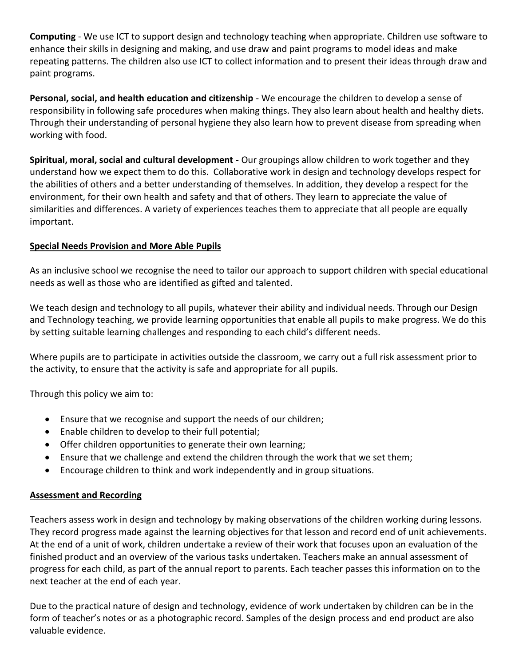**Computing** - We use ICT to support design and technology teaching when appropriate. Children use software to enhance their skills in designing and making, and use draw and paint programs to model ideas and make repeating patterns. The children also use ICT to collect information and to present their ideas through draw and paint programs.

**Personal, social, and health education and citizenship** - We encourage the children to develop a sense of responsibility in following safe procedures when making things. They also learn about health and healthy diets. Through their understanding of personal hygiene they also learn how to prevent disease from spreading when working with food.

**Spiritual, moral, social and cultural development** - Our groupings allow children to work together and they understand how we expect them to do this. Collaborative work in design and technology develops respect for the abilities of others and a better understanding of themselves. In addition, they develop a respect for the environment, for their own health and safety and that of others. They learn to appreciate the value of similarities and differences. A variety of experiences teaches them to appreciate that all people are equally important.

# **Special Needs Provision and More Able Pupils**

As an inclusive school we recognise the need to tailor our approach to support children with special educational needs as well as those who are identified as gifted and talented.

We teach design and technology to all pupils, whatever their ability and individual needs. Through our Design and Technology teaching, we provide learning opportunities that enable all pupils to make progress. We do this by setting suitable learning challenges and responding to each child's different needs.

Where pupils are to participate in activities outside the classroom, we carry out a full risk assessment prior to the activity, to ensure that the activity is safe and appropriate for all pupils.

Through this policy we aim to:

- Ensure that we recognise and support the needs of our children;
- Enable children to develop to their full potential;
- Offer children opportunities to generate their own learning;
- Ensure that we challenge and extend the children through the work that we set them;
- Encourage children to think and work independently and in group situations.

# **Assessment and Recording**

Teachers assess work in design and technology by making observations of the children working during lessons. They record progress made against the learning objectives for that lesson and record end of unit achievements. At the end of a unit of work, children undertake a review of their work that focuses upon an evaluation of the finished product and an overview of the various tasks undertaken. Teachers make an annual assessment of progress for each child, as part of the annual report to parents. Each teacher passes this information on to the next teacher at the end of each year.

Due to the practical nature of design and technology, evidence of work undertaken by children can be in the form of teacher's notes or as a photographic record. Samples of the design process and end product are also valuable evidence.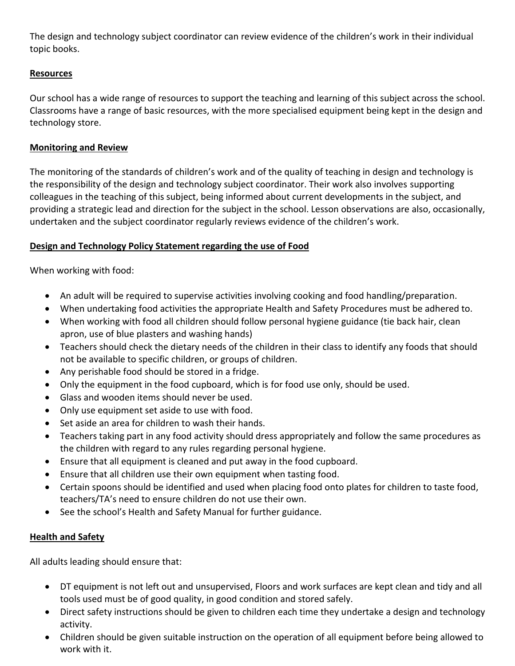The design and technology subject coordinator can review evidence of the children's work in their individual topic books.

# **Resources**

Our school has a wide range of resources to support the teaching and learning of this subject across the school. Classrooms have a range of basic resources, with the more specialised equipment being kept in the design and technology store.

# **Monitoring and Review**

The monitoring of the standards of children's work and of the quality of teaching in design and technology is the responsibility of the design and technology subject coordinator. Their work also involves supporting colleagues in the teaching of this subject, being informed about current developments in the subject, and providing a strategic lead and direction for the subject in the school. Lesson observations are also, occasionally, undertaken and the subject coordinator regularly reviews evidence of the children's work.

# **Design and Technology Policy Statement regarding the use of Food**

When working with food:

- An adult will be required to supervise activities involving cooking and food handling/preparation.
- When undertaking food activities the appropriate Health and Safety Procedures must be adhered to.
- When working with food all children should follow personal hygiene guidance (tie back hair, clean apron, use of blue plasters and washing hands)
- Teachers should check the dietary needs of the children in their class to identify any foods that should not be available to specific children, or groups of children.
- Any perishable food should be stored in a fridge.
- Only the equipment in the food cupboard, which is for food use only, should be used.
- Glass and wooden items should never be used.
- Only use equipment set aside to use with food.
- Set aside an area for children to wash their hands.
- Teachers taking part in any food activity should dress appropriately and follow the same procedures as the children with regard to any rules regarding personal hygiene.
- Ensure that all equipment is cleaned and put away in the food cupboard.
- Ensure that all children use their own equipment when tasting food.
- Certain spoons should be identified and used when placing food onto plates for children to taste food, teachers/TA's need to ensure children do not use their own.
- See the school's Health and Safety Manual for further guidance.

# **Health and Safety**

All adults leading should ensure that:

- DT equipment is not left out and unsupervised, Floors and work surfaces are kept clean and tidy and all tools used must be of good quality, in good condition and stored safely.
- Direct safety instructions should be given to children each time they undertake a design and technology activity.
- Children should be given suitable instruction on the operation of all equipment before being allowed to work with it.